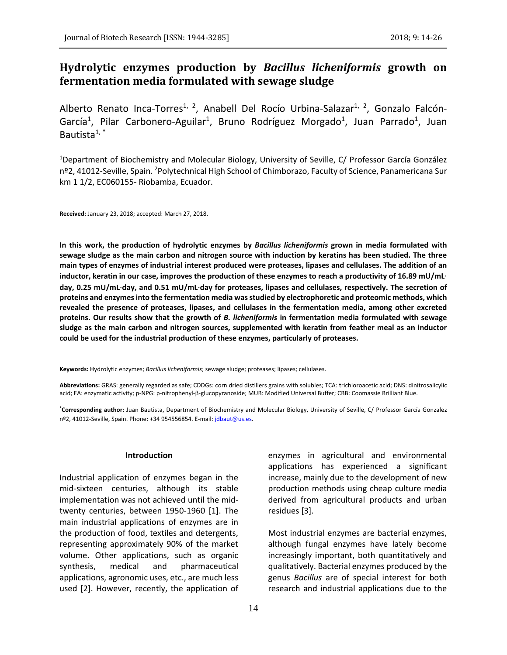# **Hydrolytic enzymes production by** *Bacillus licheniformis* **growth on fermentation media formulated with sewage sludge**

Alberto Renato Inca-Torres<sup>1, 2</sup>, Anabell Del Rocío Urbina-Salazar<sup>1, 2</sup>, Gonzalo Falcón-García<sup>1</sup>, Pilar Carbonero-Aguilar<sup>1</sup>, Bruno Rodríguez Morgado<sup>1</sup>, Juan Parrado<sup>1</sup>, Juan Bautista $1, *$ 

<sup>1</sup>Department of Biochemistry and Molecular Biology, University of Seville, C/ Professor García González nº2, 41012-Seville, Spain. <sup>2</sup>Polytechnical High School of Chimborazo, Faculty of Science, Panamericana Sur km 1 1/2, EC060155- Riobamba, Ecuador.

**Received:** January 23, 2018; accepted: March 27, 2018.

**In this work, the production of hydrolytic enzymes by** *Bacillus licheniformis* **grown in media formulated with sewage sludge as the main carbon and nitrogen source with induction by keratins has been studied. The three main types of enzymes of industrial interest produced were proteases, lipases and cellulases. The addition of an inductor, keratin in our case, improves the production of these enzymes to reach a productivity of 16.89 mU/mL**· **day, 0.25 mU/mL**·**day, and 0.51 mU/mL**·**day for proteases, lipases and cellulases, respectively. The secretion of proteins and enzymes into the fermentation media was studied by electrophoretic and proteomic methods, which revealed the presence of proteases, lipases, and cellulases in the fermentation media, among other excreted proteins. Our results show that the growth of** *B. licheniformis* **in fermentation media formulated with sewage sludge as the main carbon and nitrogen sources, supplemented with keratin from feather meal as an inductor could be used for the industrial production of these enzymes, particularly of proteases.**

**Keywords:** Hydrolytic enzymes; *Bacillus licheniformis*; sewage sludge; proteases; lipases; cellulases.

**Abbreviations:** GRAS: generally regarded as safe; CDDGs: corn dried distillers grains with solubles; TCA: trichloroacetic acid; DNS: dinitrosalicylic acid; EA: enzymatic activity; p-NPG: p-nitrophenyl-β-glucopyranoside; MUB: Modified Universal Buffer; CBB: Coomassie Brilliant Blue.

**\*Corresponding author:** Juan Bautista, Department of Biochemistry and Molecular Biology, University of Seville, C/ Professor García Gonzalez nº2, 41012-Seville, Spain. Phone: +34 954556854. E-mail[: jdbaut@us.es.](mailto:jdbaut@us.es)

#### **Introduction**

Industrial application of enzymes began in the mid-sixteen centuries, although its stable implementation was not achieved until the midtwenty centuries, between 1950-1960 [1]. The main industrial applications of enzymes are in the production of food, textiles and detergents, representing approximately 90% of the market volume. Other applications, such as organic synthesis, medical and pharmaceutical applications, agronomic uses, etc., are much less used [2]. However, recently, the application of enzymes in agricultural and environmental applications has experienced a significant increase, mainly due to the development of new production methods using cheap culture media derived from agricultural products and urban residues [3].

Most industrial enzymes are bacterial enzymes, although fungal enzymes have lately become increasingly important, both quantitatively and qualitatively. Bacterial enzymes produced by the genus *Bacillus* are of special interest for both research and industrial applications due to the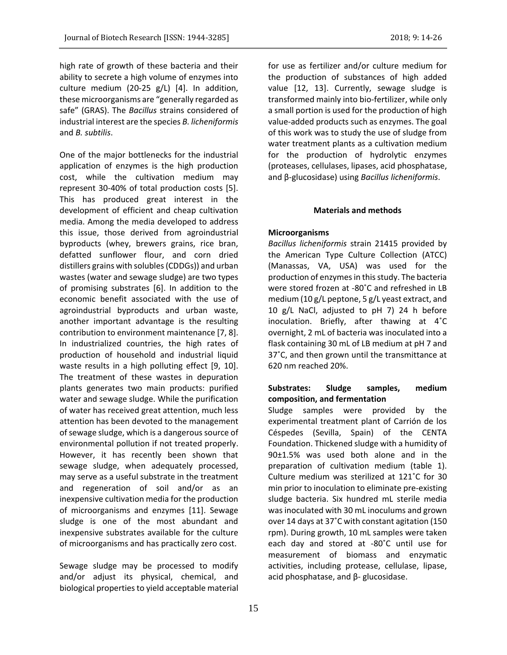high rate of growth of these bacteria and their ability to secrete a high volume of enzymes into culture medium (20-25 g/L) [4]. In addition, these microorganisms are "generally regarded as safe" (GRAS). The *Bacillus* strains considered of industrial interest are the species *B. licheniformis* and *B. subtilis*.

One of the major bottlenecks for the industrial application of enzymes is the high production cost, while the cultivation medium may represent 30-40% of total production costs [5]. This has produced great interest in the development of efficient and cheap cultivation media. Among the media developed to address this issue, those derived from agroindustrial byproducts (whey, brewers grains, rice bran, defatted sunflower flour, and corn dried distillers grains with solubles (CDDGs)) and urban wastes (water and sewage sludge) are two types of promising substrates [6]. In addition to the economic benefit associated with the use of agroindustrial byproducts and urban waste, another important advantage is the resulting contribution to environment maintenance [7, 8]. In industrialized countries, the high rates of production of household and industrial liquid waste results in a high polluting effect [9, 10]. The treatment of these wastes in depuration plants generates two main products: purified water and sewage sludge. While the purification of water has received great attention, much less attention has been devoted to the management of sewage sludge, which is a dangerous source of environmental pollution if not treated properly. However, it has recently been shown that sewage sludge, when adequately processed, may serve as a useful substrate in the treatment and regeneration of soil and/or as an inexpensive cultivation media for the production of microorganisms and enzymes [11]. Sewage sludge is one of the most abundant and inexpensive substrates available for the culture of microorganisms and has practically zero cost.

Sewage sludge may be processed to modify and/or adjust its physical, chemical, and biological properties to yield acceptable material for use as fertilizer and/or culture medium for the production of substances of high added value [12, 13]. Currently, sewage sludge is transformed mainly into bio-fertilizer, while only a small portion is used for the production of high value-added products such as enzymes. The goal of this work was to study the use of sludge from water treatment plants as a cultivation medium for the production of hydrolytic enzymes (proteases, cellulases, lipases, acid phosphatase, and β-glucosidase) using *Bacillus licheniformis*.

## **Materials and methods**

# **Microorganisms**

*Bacillus licheniformis* strain 21415 provided by the American Type Culture Collection (ATCC) (Manassas, VA, USA) was used for the production of enzymes in this study. The bacteria were stored frozen at -80˚C and refreshed in LB medium (10 g/L peptone, 5 g/L yeast extract, and 10 g/L NaCl, adjusted to pH 7) 24 h before inoculation. Briefly, after thawing at 4˚C overnight, 2 mL of bacteria was inoculated into a flask containing 30 mL of LB medium at pH 7 and 37˚C, and then grown until the transmittance at 620 nm reached 20%.

# **Substrates: Sludge samples, medium composition, and fermentation**

Sludge samples were provided by the experimental treatment plant of Carrión de los Céspedes (Sevilla, Spain) of the CENTA Foundation. Thickened sludge with a humidity of 90±1.5% was used both alone and in the preparation of cultivation medium (table 1). Culture medium was sterilized at 121˚C for 30 min prior to inoculation to eliminate pre-existing sludge bacteria. Six hundred mL sterile media was inoculated with 30 mL inoculums and grown over 14 days at 37˚C with constant agitation (150 rpm). During growth, 10 mL samples were taken each day and stored at -80˚C until use for measurement of biomass and enzymatic activities, including protease, cellulase, lipase, acid phosphatase, and β- glucosidase.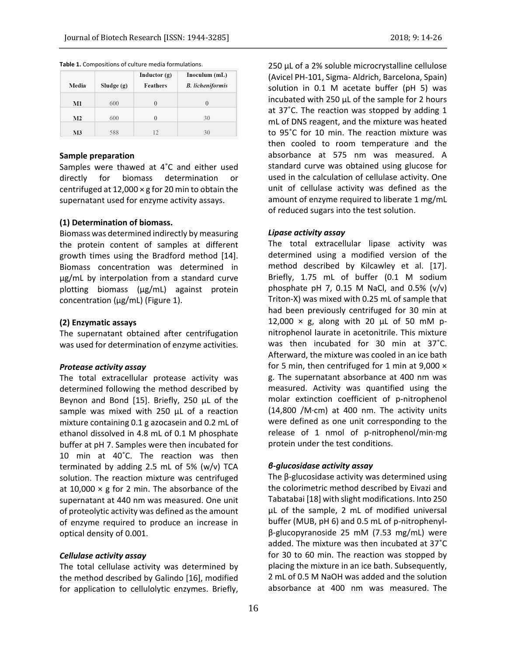|                |            | Inductor $(g)$  | Inoculum $(mL)$         |  |
|----------------|------------|-----------------|-------------------------|--|
| Media          | Sludge (g) | <b>Feathers</b> | <b>B.</b> licheniformis |  |
| M1             | 600        | $\Omega$        | $\theta$                |  |
| $\mathbf{M}2$  | 600        | $\theta$        | 30                      |  |
| M <sub>3</sub> | 588        | 12.             | 30                      |  |

## **Sample preparation**

Samples were thawed at 4˚C and either used directly for biomass determination or centrifuged at  $12,000 \times g$  for 20 min to obtain the supernatant used for enzyme activity assays.

## **(1) Determination of biomass.**

Biomass was determined indirectly by measuring the protein content of samples at different growth times using the Bradford method [14]. Biomass concentration was determined in μg/mL by interpolation from a standard curve plotting biomass (μg/mL) against protein concentration (μg/mL) (Figure 1).

#### **(2) Enzymatic assays**

The supernatant obtained after centrifugation was used for determination of enzyme activities.

#### *Protease activity assay*

The total extracellular protease activity was determined following the method described by Beynon and Bond [15]. Briefly, 250 μL of the sample was mixed with 250 μL of a reaction mixture containing 0.1 g azocasein and 0.2 mL of ethanol dissolved in 4.8 mL of 0.1 M phosphate buffer at pH 7. Samples were then incubated for 10 min at 40˚C. The reaction was then terminated by adding 2.5 mL of 5% (w/v) TCA solution. The reaction mixture was centrifuged at 10,000  $\times$  g for 2 min. The absorbance of the supernatant at 440 nm was measured. One unit of proteolytic activity was defined as the amount of enzyme required to produce an increase in optical density of 0.001.

# *Cellulase activity assay*

The total cellulase activity was determined by the method described by Galindo [16], modified for application to cellulolytic enzymes. Briefly,

250 μL of a 2% soluble microcrystalline cellulose (Avicel PH-101, Sigma- Aldrich, Barcelona, Spain) solution in 0.1 M acetate buffer (pH 5) was incubated with 250 μL of the sample for 2 hours at 37˚C. The reaction was stopped by adding 1 mL of DNS reagent, and the mixture was heated to 95˚C for 10 min. The reaction mixture was then cooled to room temperature and the absorbance at 575 nm was measured. A standard curve was obtained using glucose for used in the calculation of cellulase activity. One unit of cellulase activity was defined as the amount of enzyme required to liberate 1 mg/mL of reduced sugars into the test solution.

#### *Lipase activity assay*

The total extracellular lipase activity was determined using a modified version of the method described by Kilcawley et al. [17]. Briefly, 1.75 mL of buffer (0.1 M sodium phosphate pH 7, 0.15 M NaCl, and 0.5%  $(v/v)$ Triton-X) was mixed with 0.25 mL of sample that had been previously centrifuged for 30 min at  $12,000 \times g$ , along with 20 µL of 50 mM pnitrophenol laurate in acetonitrile. This mixture was then incubated for 30 min at 37˚C. Afterward, the mixture was cooled in an ice bath for 5 min, then centrifuged for 1 min at  $9,000 \times$ g. The supernatant absorbance at 400 nm was measured. Activity was quantified using the molar extinction coefficient of p-nitrophenol (14,800 /M·cm) at 400 nm. The activity units were defined as one unit corresponding to the release of 1 nmol of p-nitrophenol/min·mg protein under the test conditions.

# *β-glucosidase activity assay*

The β-glucosidase activity was determined using the colorimetric method described by Eivazi and Tabatabai [18] with slight modifications. Into 250 μL of the sample, 2 mL of modified universal buffer (MUB, pH 6) and 0.5 mL of p-nitrophenylβ-glucopyranoside 25 mM (7.53 mg/mL) were added. The mixture was then incubated at 37˚C for 30 to 60 min. The reaction was stopped by placing the mixture in an ice bath. Subsequently, 2 mL of 0.5 M NaOH was added and the solution absorbance at 400 nm was measured. The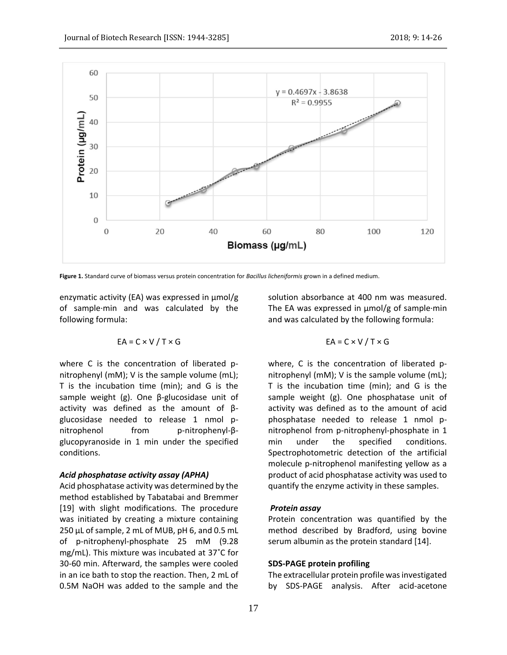

**Figure 1.** Standard curve of biomass versus protein concentration for *Bacillus licheniformis* grown in a defined medium.

enzymatic activity (EA) was expressed in μmol/g of sample·min and was calculated by the following formula:

$$
EA = C \times V / T \times G
$$

where C is the concentration of liberated pnitrophenyl (mM); V is the sample volume (mL); T is the incubation time (min); and G is the sample weight (g). One β-glucosidase unit of activity was defined as the amount of βglucosidase needed to release 1 nmol pnitrophenol from p-nitrophenyl-βglucopyranoside in 1 min under the specified conditions.

#### *Acid phosphatase activity assay (APHA)*

Acid phosphatase activity was determined by the method established by Tabatabai and Bremmer [19] with slight modifications. The procedure was initiated by creating a mixture containing 250 μL of sample, 2 mL of MUB, pH 6, and 0.5 mL of p-nitrophenyl-phosphate 25 mM (9.28 mg/mL). This mixture was incubated at 37˚C for 30-60 min. Afterward, the samples were cooled in an ice bath to stop the reaction. Then, 2 mL of 0.5M NaOH was added to the sample and the

solution absorbance at 400 nm was measured. The EA was expressed in μmol/g of sample·min and was calculated by the following formula:

$$
EA = C \times V / T \times G
$$

where, C is the concentration of liberated pnitrophenyl (mM); V is the sample volume (mL); T is the incubation time (min); and G is the sample weight (g). One phosphatase unit of activity was defined as to the amount of acid phosphatase needed to release 1 nmol pnitrophenol from p-nitrophenyl-phosphate in 1 min under the specified conditions. Spectrophotometric detection of the artificial molecule p-nitrophenol manifesting yellow as a product of acid phosphatase activity was used to quantify the enzyme activity in these samples.

### *Protein assay*

Protein concentration was quantified by the method described by Bradford, using bovine serum albumin as the protein standard [14].

# **SDS-PAGE protein profiling**

The extracellular protein profile was investigated by SDS-PAGE analysis. After acid-acetone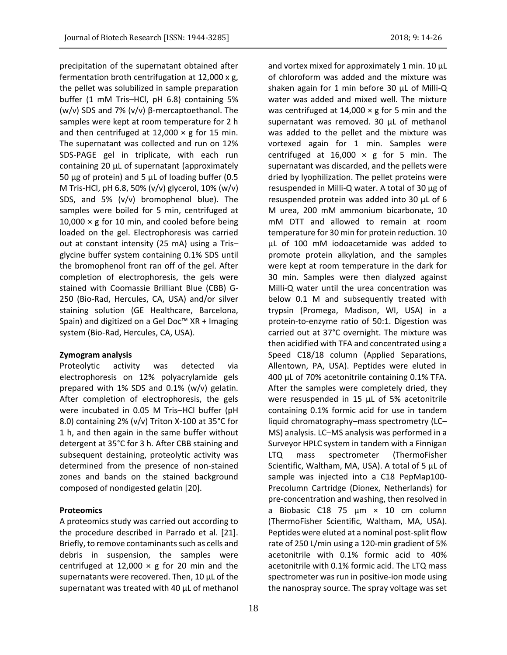and vortex mixed for approximately 1 min. 10 μL of chloroform was added and the mixture was shaken again for 1 min before 30 μL of Milli-Q water was added and mixed well. The mixture was centrifuged at  $14,000 \times g$  for 5 min and the supernatant was removed. 30 μL of methanol was added to the pellet and the mixture was vortexed again for 1 min. Samples were centrifuged at  $16,000 \times g$  for 5 min. The supernatant was discarded, and the pellets were dried by lyophilization. The pellet proteins were resuspended in Milli-Q water. A total of 30 μg of resuspended protein was added into 30 μL of 6 M urea, 200 mM ammonium bicarbonate, 10 mM DTT and allowed to remain at room temperature for 30 min for protein reduction. 10 μL of 100 mM iodoacetamide was added to promote protein alkylation, and the samples were kept at room temperature in the dark for 30 min. Samples were then dialyzed against Milli-Q water until the urea concentration was below 0.1 M and subsequently treated with trypsin (Promega, Madison, WI, USA) in a protein-to-enzyme ratio of 50:1. Digestion was carried out at 37°C overnight. The mixture was then acidified with TFA and concentrated using a Speed C18/18 column (Applied Separations, Allentown, PA, USA). Peptides were eluted in 400 μL of 70% acetonitrile containing 0.1% TFA. After the samples were completely dried, they were resuspended in 15 μL of 5% acetonitrile containing 0.1% formic acid for use in tandem liquid chromatography–mass spectrometry (LC– MS) analysis. LC–MS analysis was performed in a Surveyor HPLC system in tandem with a Finnigan LTQ mass spectrometer (ThermoFisher Scientific, Waltham, MA, USA). A total of 5 μL of sample was injected into a C18 PepMap100- Precolumn Cartridge (Dionex, Netherlands) for pre-concentration and washing, then resolved in a Biobasic C18 75 µm × 10 cm column (ThermoFisher Scientific, Waltham, MA, USA). Peptides were eluted at a nominal post-split flow

precipitation of the supernatant obtained after fermentation broth centrifugation at 12,000 x g, the pellet was solubilized in sample preparation buffer (1 mM Tris–HCl, pH 6.8) containing 5% (w/v) SDS and 7% (v/v) β-mercaptoethanol. The samples were kept at room temperature for 2 h and then centrifuged at  $12,000 \times g$  for 15 min. The supernatant was collected and run on 12% SDS-PAGE gel in triplicate, with each run containing 20 μL of supernatant (approximately 50 μg of protein) and 5 μL of loading buffer (0.5 M Tris-HCl, pH 6.8, 50% (v/v) glycerol, 10% (w/v) SDS, and 5% (v/v) bromophenol blue). The samples were boiled for 5 min, centrifuged at  $10,000 \times g$  for 10 min, and cooled before being loaded on the gel. Electrophoresis was carried out at constant intensity (25 mA) using a Tris– glycine buffer system containing 0.1% SDS until the bromophenol front ran off of the gel. After completion of electrophoresis, the gels were stained with Coomassie Brilliant Blue (CBB) G-250 (Bio-Rad, Hercules, CA, USA) and/or silver staining solution (GE Healthcare, Barcelona, Spain) and digitized on a Gel Doc™ XR + Imaging system (Bio-Rad, Hercules, CA, USA).

# **Zymogram analysis**

Proteolytic activity was detected via electrophoresis on 12% polyacrylamide gels prepared with 1% SDS and 0.1% (w/v) gelatin. After completion of electrophoresis, the gels were incubated in 0.05 M Tris–HCl buffer (pH 8.0) containing 2% (v/v) Triton X-100 at 35°C for 1 h, and then again in the same buffer without detergent at 35°C for 3 h. After CBB staining and subsequent destaining, proteolytic activity was determined from the presence of non-stained zones and bands on the stained background composed of nondigested gelatin [20].

# **Proteomics**

A proteomics study was carried out according to the procedure described in Parrado et al. [21]. Briefly, to remove contaminants such as cells and debris in suspension, the samples were centrifuged at 12,000  $\times$  g for 20 min and the supernatants were recovered. Then, 10 μL of the supernatant was treated with 40 μL of methanol

rate of 250 L/min using a 120-min gradient of 5% acetonitrile with 0.1% formic acid to 40% acetonitrile with 0.1% formic acid. The LTQ mass spectrometer was run in positive-ion mode using the nanospray source. The spray voltage was set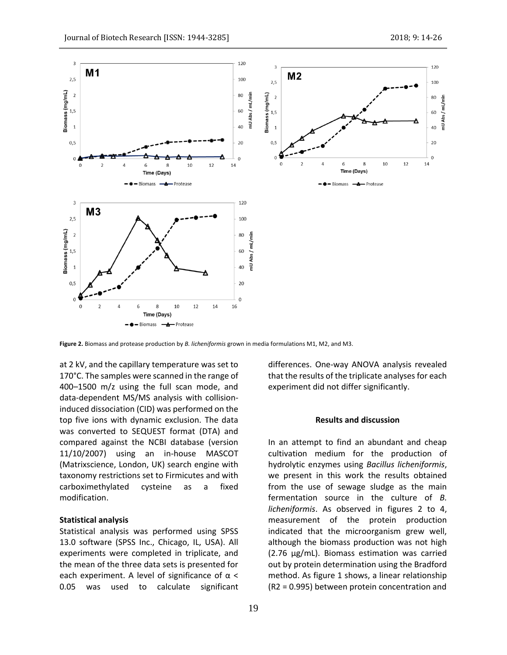

**Figure 2.** Biomass and protease production by *B. licheniformis* grown in media formulations M1, M2, and M3.

at 2 kV, and the capillary temperature was set to 170°C. The samples were scanned in the range of 400–1500 m/z using the full scan mode, and data-dependent MS/MS analysis with collisioninduced dissociation (CID) was performed on the top five ions with dynamic exclusion. The data was converted to SEQUEST format (DTA) and compared against the NCBI database (version 11/10/2007) using an in-house MASCOT (Matrixscience, London, UK) search engine with taxonomy restrictions set to Firmicutes and with carboximethylated cysteine as a fixed modification.

# **Statistical analysis**

Statistical analysis was performed using SPSS 13.0 software (SPSS Inc., Chicago, IL, USA). All experiments were completed in triplicate, and the mean of the three data sets is presented for each experiment. A level of significance of  $\alpha$  < 0.05 was used to calculate significant differences. One-way ANOVA analysis revealed that the results of the triplicate analyses for each experiment did not differ significantly.

### **Results and discussion**

In an attempt to find an abundant and cheap cultivation medium for the production of hydrolytic enzymes using *Bacillus licheniformis*, we present in this work the results obtained from the use of sewage sludge as the main fermentation source in the culture of *B. licheniformis*. As observed in figures 2 to 4, measurement of the protein production indicated that the microorganism grew well, although the biomass production was not high (2.76 μg/mL). Biomass estimation was carried out by protein determination using the Bradford method. As figure 1 shows, a linear relationship (R2 = 0.995) between protein concentration and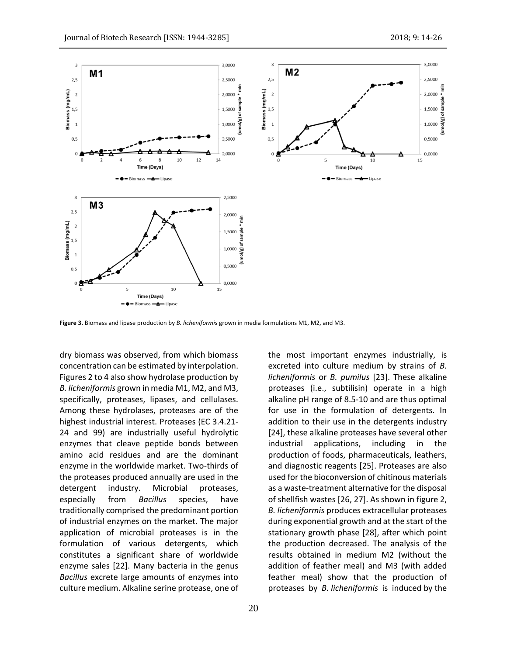

**Figure 3.** Biomass and lipase production by *B. licheniformis* grown in media formulations M1, M2, and M3.

dry biomass was observed, from which biomass concentration can be estimated by interpolation. Figures 2 to 4 also show hydrolase production by *B. licheniformis* grown in media M1, M2, and M3, specifically, proteases, lipases, and cellulases. Among these hydrolases, proteases are of the highest industrial interest. Proteases (EC 3.4.21- 24 and 99) are industrially useful hydrolytic enzymes that cleave peptide bonds between amino acid residues and are the dominant enzyme in the worldwide market. Two-thirds of the proteases produced annually are used in the detergent industry. Microbial proteases, especially from *Bacillus* species, have traditionally comprised the predominant portion of industrial enzymes on the market. The major application of microbial proteases is in the formulation of various detergents, which constitutes a significant share of worldwide enzyme sales [22]. Many bacteria in the genus *Bacillus* excrete large amounts of enzymes into culture medium. Alkaline serine protease, one of the most important enzymes industrially, is excreted into culture medium by strains of *B. licheniformis* or *B. pumilus* [23]. These alkaline proteases (i.e., subtilisin) operate in a high alkaline pH range of 8.5-10 and are thus optimal for use in the formulation of detergents. In addition to their use in the detergents industry [24], these alkaline proteases have several other industrial applications, including in the production of foods, pharmaceuticals, leathers, and diagnostic reagents [25]. Proteases are also used for the bioconversion of chitinous materials as a waste-treatment alternative for the disposal of shellfish wastes [26, 27]. As shown in figure 2, *B. licheniformis* produces extracellular proteases during exponential growth and at the start of the stationary growth phase [28], after which point the production decreased. The analysis of the results obtained in medium M2 (without the addition of feather meal) and M3 (with added feather meal) show that the production of proteases by *B. licheniformis* is induced by the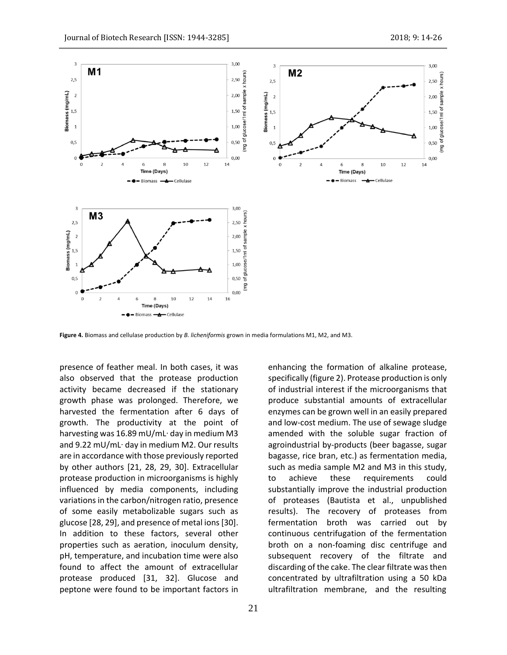

**Figure 4.** Biomass and cellulase production by *B. licheniformis* grown in media formulations M1, M2, and M3.

presence of feather meal. In both cases, it was also observed that the protease production activity became decreased if the stationary growth phase was prolonged. Therefore, we harvested the fermentation after 6 days of growth. The productivity at the point of harvesting was 16.89 mU/mL∙ day in medium M3 and 9.22 mU/mL∙ day in medium M2. Our results are in accordance with those previously reported by other authors [21, 28, 29, 30]. Extracellular protease production in microorganisms is highly influenced by media components, including variations in the carbon/nitrogen ratio, presence of some easily metabolizable sugars such as glucose [28, 29], and presence of metal ions [30]. In addition to these factors, several other properties such as aeration, inoculum density, pH, temperature, and incubation time were also found to affect the amount of extracellular protease produced [31, 32]. Glucose and peptone were found to be important factors in

enhancing the formation of alkaline protease, specifically (figure 2). Protease production is only of industrial interest if the microorganisms that produce substantial amounts of extracellular enzymes can be grown well in an easily prepared and low-cost medium. The use of sewage sludge amended with the soluble sugar fraction of agroindustrial by-products (beer bagasse, sugar bagasse, rice bran, etc.) as fermentation media, such as media sample M2 and M3 in this study, to achieve these requirements could substantially improve the industrial production of proteases (Bautista et al., unpublished results). The recovery of proteases from fermentation broth was carried out by continuous centrifugation of the fermentation broth on a non-foaming disc centrifuge and subsequent recovery of the filtrate and discarding of the cake. The clear filtrate was then concentrated by ultrafiltration using a 50 kDa ultrafiltration membrane, and the resulting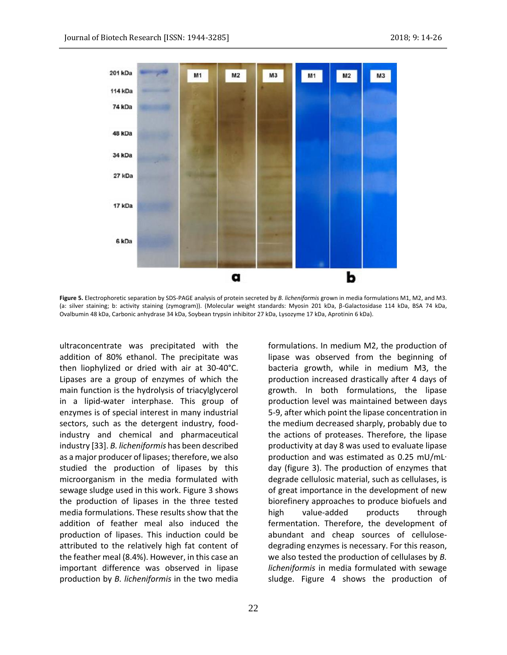

**Figure 5.** Electrophoretic separation by SDS-PAGE analysis of protein secreted by *B. licheniformis* grown in media formulations M1, M2, and M3. (a: silver staining; b: activity staining (zymogram)). (Molecular weight standards: Myosin 201 kDa, β-Galactosidase 114 kDa, BSA 74 kDa, Ovalbumin 48 kDa, Carbonic anhydrase 34 kDa, Soybean trypsin inhibitor 27 kDa, Lysozyme 17 kDa, Aprotinin 6 kDa).

ultraconcentrate was precipitated with the addition of 80% ethanol. The precipitate was then liophylized or dried with air at 30-40°C. Lipases are a group of enzymes of which the main function is the hydrolysis of triacylglycerol in a lipid-water interphase. This group of enzymes is of special interest in many industrial sectors, such as the detergent industry, foodindustry and chemical and pharmaceutical industry [33]. *B. licheniformis* has been described as a major producer of lipases; therefore, we also studied the production of lipases by this microorganism in the media formulated with sewage sludge used in this work. Figure 3 shows the production of lipases in the three tested media formulations. These results show that the addition of feather meal also induced the production of lipases. This induction could be attributed to the relatively high fat content of the feather meal (8.4%). However, in this case an important difference was observed in lipase production by *B. licheniformis* in the two media

formulations. In medium M2, the production of lipase was observed from the beginning of bacteria growth, while in medium M3, the production increased drastically after 4 days of growth. In both formulations, the lipase production level was maintained between days 5-9, after which point the lipase concentration in the medium decreased sharply, probably due to the actions of proteases. Therefore, the lipase productivity at day 8 was used to evaluate lipase production and was estimated as 0.25 mU/mL∙ day (figure 3). The production of enzymes that degrade cellulosic material, such as cellulases, is of great importance in the development of new biorefinery approaches to produce biofuels and high value-added products through fermentation. Therefore, the development of abundant and cheap sources of cellulosedegrading enzymes is necessary. For this reason, we also tested the production of cellulases by *B. licheniformis* in media formulated with sewage sludge. Figure 4 shows the production of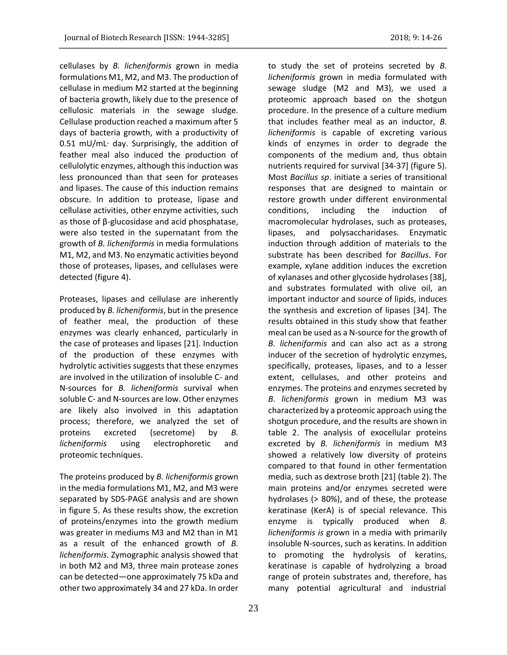cellulases by *B. licheniformis* grown in media formulations M1, M2, and M3. The production of cellulase in medium M2 started at the beginning of bacteria growth, likely due to the presence of cellulosic materials in the sewage sludge. Cellulase production reached a maximum after 5 days of bacteria growth, with a productivity of 0.51 mU/mL∙ day. Surprisingly, the addition of feather meal also induced the production of cellulolytic enzymes, although this induction was less pronounced than that seen for proteases and lipases. The cause of this induction remains obscure. In addition to protease, lipase and cellulase activities, other enzyme activities, such as those of β-glucosidase and acid phosphatase, were also tested in the supernatant from the growth of *B. licheniformis* in media formulations M1, M2, and M3. No enzymatic activities beyond those of proteases, lipases, and cellulases were detected (figure 4).

Proteases, lipases and cellulase are inherently produced by *B. licheniformis*, but in the presence of feather meal, the production of these enzymes was clearly enhanced, particularly in the case of proteases and lipases [21]. Induction of the production of these enzymes with hydrolytic activities suggests that these enzymes are involved in the utilization of insoluble C- and N-sources for *B. licheniformis* survival when soluble C- and N-sources are low. Other enzymes are likely also involved in this adaptation process; therefore, we analyzed the set of proteins excreted (secretome) by *B. licheniformis* using electrophoretic and proteomic techniques.

The proteins produced by *B. licheniformis* grown in the media formulations M1, M2, and M3 were separated by SDS-PAGE analysis and are shown in figure 5. As these results show, the excretion of proteins/enzymes into the growth medium was greater in mediums M3 and M2 than in M1 as a result of the enhanced growth of *B. licheniformis*. Zymographic analysis showed that in both M2 and M3, three main protease zones can be detected—one approximately 75 kDa and other two approximately 34 and 27 kDa. In order

23

to study the set of proteins secreted by *B. licheniformis* grown in media formulated with sewage sludge (M2 and M3), we used a proteomic approach based on the shotgun procedure. In the presence of a culture medium that includes feather meal as an inductor, *B. licheniformis* is capable of excreting various kinds of enzymes in order to degrade the components of the medium and, thus obtain nutrients required for survival [34-37] (figure 5). Most *Bacillus sp*. initiate a series of transitional responses that are designed to maintain or restore growth under different environmental conditions, including the induction of macromolecular hydrolases, such as proteases, lipases, and polysaccharidases. Enzymatic induction through addition of materials to the substrate has been described for *Bacillus*. For example, xylane addition induces the excretion of xylanases and other glycoside hydrolases [38], and substrates formulated with olive oil, an important inductor and source of lipids, induces the synthesis and excretion of lipases [34]. The results obtained in this study show that feather meal can be used as a N-source for the growth of *B. licheniformis* and can also act as a strong inducer of the secretion of hydrolytic enzymes, specifically, proteases, lipases, and to a lesser extent, cellulases, and other proteins and enzymes. The proteins and enzymes secreted by *B. licheniformis* grown in medium M3 was characterized by a proteomic approach using the shotgun procedure, and the results are shown in table 2. The analysis of exocellular proteins excreted by *B. licheniformis* in medium M3 showed a relatively low diversity of proteins compared to that found in other fermentation media, such as dextrose broth [21] (table 2). The main proteins and/or enzymes secreted were hydrolases (> 80%), and of these, the protease keratinase (KerA) is of special relevance. This enzyme is typically produced when *B. licheniformis is* grown in a media with primarily insoluble N-sources, such as keratins. In addition to promoting the hydrolysis of keratins, keratinase is capable of hydrolyzing a broad range of protein substrates and, therefore, has many potential agricultural and industrial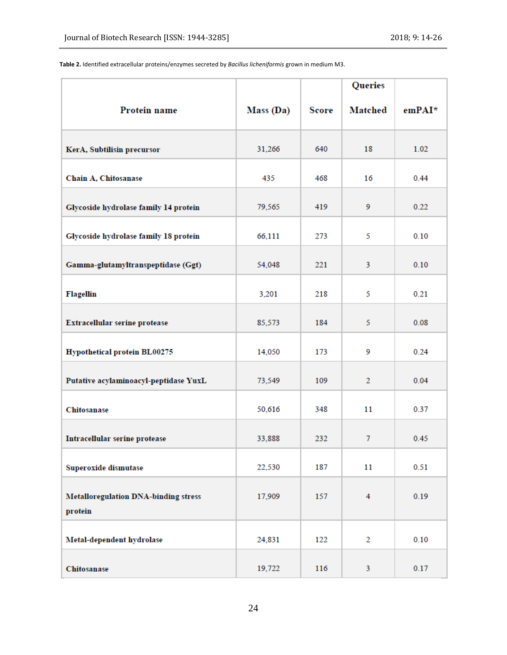**Table 2.** Identified extracellular proteins/enzymes secreted by *Bacillus licheniformis* grown in medium M3.

|                                                        |           |              | Queries        |        |
|--------------------------------------------------------|-----------|--------------|----------------|--------|
| Protein name                                           | Mass (Da) | <b>Score</b> | <b>Matched</b> | emPAI* |
| KerA, Subtilisin precursor                             | 31,266    | 640          | 18             | 1.02   |
| Chain A, Chitosanase                                   | 435       | 468          | 16             | 0.44   |
| Glycoside hydrolase family 14 protein                  | 79,565    | 419          | 9              | 0.22   |
| Glycoside hydrolase family 18 protein                  | 66,111    | 273          | 5              | 0.10   |
| Gamma-glutamyltranspeptidase (Ggt)                     | 54,048    | 221          | 3              | 0.10   |
| <b>Flagellin</b>                                       | 3,201     | 218          | 5              | 0.21   |
| Extracellular serine protease                          | 85,573    | 184          | 5              | 0.08   |
| Hypothetical protein BL00275                           | 14,050    | 173          | 9              | 0.24   |
| Putative acylaminoacyl-peptidase YuxL                  | 73,549    | 109          | 2              | 0.04   |
| Chitosanase                                            | 50,616    | 348          | 11             | 0.37   |
| Intracellular serine protease                          | 33,888    | 232          | $\overline{7}$ | 0.45   |
| Superoxide dismutase                                   | 22,530    | 187          | 11             | 0.51   |
| <b>Metalloregulation DNA-binding stress</b><br>protein | 17,909    | 157          | $\overline{4}$ | 0.19   |
| Metal-dependent hydrolase                              | 24,831    | 122          | 2              | 0.10   |
| Chitosanase                                            | 19,722    | 116          | 3              | 0.17   |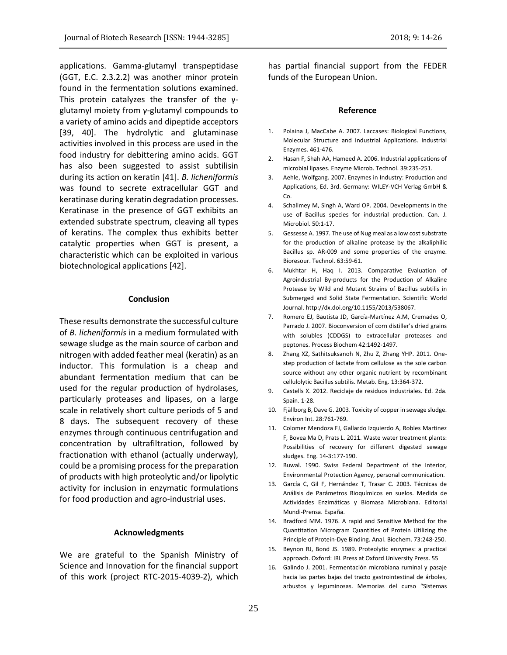applications. Gamma-glutamyl transpeptidase (GGT, E.C. 2.3.2.2) was another minor protein found in the fermentation solutions examined. This protein catalyzes the transfer of the γglutamyl moiety from γ-glutamyl compounds to a variety of amino acids and dipeptide acceptors [39, 40]. The hydrolytic and glutaminase activities involved in this process are used in the food industry for debittering amino acids. GGT has also been suggested to assist subtilisin during its action on keratin [41]. *B. licheniformis* was found to secrete extracellular GGT and keratinase during keratin degradation processes. Keratinase in the presence of GGT exhibits an extended substrate spectrum, cleaving all types of keratins. The complex thus exhibits better catalytic properties when GGT is present, a characteristic which can be exploited in various biotechnological applications [42].

## **Conclusion**

These results demonstrate the successful culture of *B. licheniformis* in a medium formulated with sewage sludge as the main source of carbon and nitrogen with added feather meal (keratin) as an inductor. This formulation is a cheap and abundant fermentation medium that can be used for the regular production of hydrolases, particularly proteases and lipases, on a large scale in relatively short culture periods of 5 and 8 days. The subsequent recovery of these enzymes through continuous centrifugation and concentration by ultrafiltration, followed by fractionation with ethanol (actually underway), could be a promising process for the preparation of products with high proteolytic and/or lipolytic activity for inclusion in enzymatic formulations for food production and agro-industrial uses.

#### **Acknowledgments**

We are grateful to the Spanish Ministry of Science and Innovation for the financial support of this work (project RTC-2015-4039-2), which has partial financial support from the FEDER funds of the European Union.

#### **Reference**

- 1. Polaina J, MacCabe A. 2007. Laccases: Biological Functions, Molecular Structure and Industrial Applications. Industrial Enzymes. 461-476.
- 2. Hasan F, Shah AA, Hameed A. 2006. Industrial applications of microbial lipases. Enzyme Microb. Technol. 39:235-251.
- 3. Aehle, Wolfgang. 2007. Enzymes in Industry: Production and Applications, Ed. 3rd. Germany: WILEY-VCH Verlag GmbH & Co.
- 4. Schallmey M, Singh A, Ward OP. 2004. Developments in the use of Bacillus species for industrial production. Can. J. Microbiol. 50:1-17.
- 5. Gessesse A. 1997. The use of Nug meal as a low cost substrate for the production of alkaline protease by the alkaliphilic Bacillus sp. AR-009 and some properties of the enzyme. Bioresour. Technol. 63:59-61.
- 6. Mukhtar H, Haq I. 2013. Comparative Evaluation of Agroindustrial By-products for the Production of Alkaline Protease by Wild and Mutant Strains of Bacillus subtilis in Submerged and Solid State Fermentation. Scientific World Journal. http://dx.doi.org/10.1155/2013/538067.
- 7. Romero EJ, Bautista JD, García-Martínez A.M, Cremades O, Parrado J. 2007. Bioconversion of corn distiller's dried grains with solubles (CDDGS) to extracellular proteases and peptones. Process Biochem 42:1492-1497.
- 8. Zhang XZ, Sathitsuksanoh N, Zhu Z, Zhang YHP. 2011. Onestep production of lactate from cellulose as the sole carbon source without any other organic nutrient by recombinant cellulolytic Bacillus subtilis. Metab. Eng. 13:364-372.
- 9. Castells X. 2012. Reciclaje de residuos industriales. Ed. 2da. Spain. 1-28.
- 10. Fjällborg B, Dave G. 2003. Toxicity of copper in sewage sludge. Environ Int. 28:761-769.
- 11. Colomer Mendoza FJ, Gallardo Izquierdo A, Robles Martinez F, Bovea Ma D, Prats L. 2011. Waste water treatment plants: Possibilities of recovery for different digested sewage sludges. Eng. 14-3:177-190.
- 12. Buwal. 1990. Swiss Federal Department of the Interior, Environmental Protection Agency, personal communication.
- 13. García C, Gil F, Hernández T, Trasar C. 2003. Técnicas de Análisis de Parámetros Bioquímicos en suelos. Medida de Actividades Enzimáticas y Biomasa Microbiana. Editorial Mundi-Prensa. España.
- 14. Bradford MM. 1976. A rapid and Sensitive Method for the Quantitation Microgram Quantities of Protein Utilizing the Principle of Protein-Dye Binding. Anal. Biochem. 73:248-250.
- 15. Beynon RJ, Bond JS. 1989. Proteolytic enzymes: a practical approach. Oxford: IRL Press at Oxford University Press. 55
- 16. Galindo J. 2001. Fermentación microbiana ruminal y pasaje hacia las partes bajas del tracto gastrointestinal de árboles, arbustos y leguminosas. Memorias del curso "Sistemas